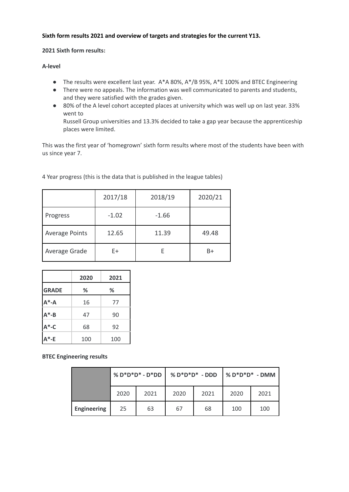## **Sixth form results 2021 and overview of targets and strategies for the current Y13.**

#### **2021 Sixth form results:**

#### **A-level**

- The results were excellent last year. A\*A 80%, A\*/B 95%, A\*E 100% and BTEC Engineering
- There were no appeals. The information was well communicated to parents and students, and they were satisfied with the grades given.
- 80% of the A level cohort accepted places at university which was well up on last year. 33% went to

Russell Group universities and 13.3% decided to take a gap year because the apprenticeship places were limited.

This was the first year of 'homegrown' sixth form results where most of the students have been with us since year 7.

|                       | 2017/18 | 2018/19 | 2020/21 |
|-----------------------|---------|---------|---------|
| Progress              | $-1.02$ | $-1.66$ |         |
| <b>Average Points</b> | 12.65   | 11.39   | 49.48   |
| Average Grade         | E+      |         | B+      |

4 Year progress (this is the data that is published in the league tables)

|              | 2020 | 2021 |
|--------------|------|------|
| <b>GRADE</b> | ℅    | ℅    |
| $A^* - A$    | 16   | 77   |
| $A^* - B$    | 47   | 90   |
| $A^*$ -C     | 68   | 92   |
| .*-E         | 100  | 100  |

## **BTEC Engineering results**

|                    | $% D^*D^*D^* - D^*DD$ |      | $% D^*D^*D^* - DDD$ |      | <b>%D*D*D* - DMM</b> |      |
|--------------------|-----------------------|------|---------------------|------|----------------------|------|
|                    | 2020                  | 2021 | 2020                | 2021 | 2020                 | 2021 |
| <b>Engineering</b> | 25                    | 63   | 67                  | 68   | 100                  | 100  |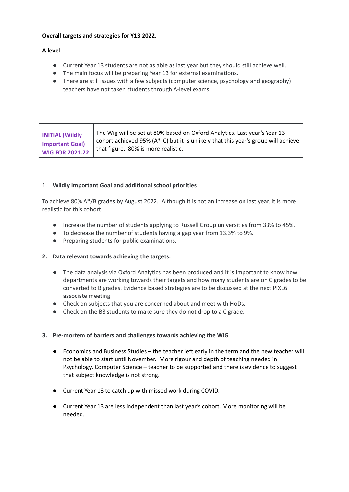#### **Overall targets and strategies for Y13 2022.**

## **A level**

- Current Year 13 students are not as able as last year but they should still achieve well.
- The main focus will be preparing Year 13 for external examinations.
- There are still issues with a few subjects (computer science, psychology and geography) teachers have not taken students through A-level exams.

## 1. **Wildly Important Goal and additional school priorities**

To achieve 80% A\*/B grades by August 2022. Although it is not an increase on last year, it is more realistic for this cohort.

- Increase the number of students applying to Russell Group universities from 33% to 45%.
- To decrease the number of students having a gap year from 13.3% to 9%.
- Preparing students for public examinations.

#### **2. Data relevant towards achieving the targets:**

- The data analysis via Oxford Analytics has been produced and it is important to know how departments are working towards their targets and how many students are on C grades to be converted to B grades. Evidence based strategies are to be discussed at the next PIXL6 associate meeting
- Check on subjects that you are concerned about and meet with HoDs.
- Check on the B3 students to make sure they do not drop to a C grade.

#### **3. Pre-mortem of barriers and challenges towards achieving the WIG**

- Economics and Business Studies the teacher left early in the term and the new teacher will not be able to start until November. More rigour and depth of teaching needed in Psychology. Computer Science – teacher to be supported and there is evidence to suggest that subject knowledge is not strong.
- Current Year 13 to catch up with missed work during COVID.
- Current Year 13 are less independent than last year's cohort. More monitoring will be needed.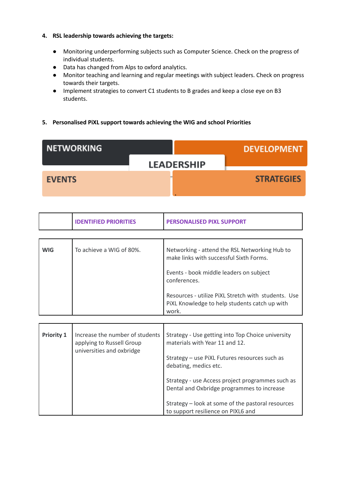## **4. RSL leadership towards achieving the targets:**

- Monitoring underperforming subjects such as Computer Science. Check on the progress of individual students.
- Data has changed from Alps to oxford analytics.
- Monitor teaching and learning and regular meetings with subject leaders. Check on progress towards their targets.
- Implement strategies to convert C1 students to B grades and keep a close eye on B3 students.

## **5. Personalised PiXL support towards achieving the WIG and school Priorities**

| <b>NETWORKING</b> |                   | <b>DEVELOPMENT</b> |
|-------------------|-------------------|--------------------|
|                   | <b>LEADERSHIP</b> |                    |
| <b>EVENTS</b>     |                   | <b>STRATEGIES</b>  |

|                   | <b>IDENTIFIED PRIORITIES</b>                                                              | <b>PERSONALISED PIXL SUPPORT</b>                                                                                                                              |
|-------------------|-------------------------------------------------------------------------------------------|---------------------------------------------------------------------------------------------------------------------------------------------------------------|
|                   |                                                                                           |                                                                                                                                                               |
| <b>WIG</b>        | To achieve a WIG of 80%.                                                                  | Networking - attend the RSL Networking Hub to<br>make links with successful Sixth Forms.<br>Events - book middle leaders on subject<br>conferences.           |
|                   |                                                                                           | Resources - utilize PIXL Stretch with students. Use<br>PIXL Knowledge to help students catch up with<br>work.                                                 |
|                   |                                                                                           |                                                                                                                                                               |
| <b>Priority 1</b> | Increase the number of students<br>applying to Russell Group<br>universities and oxbridge | Strategy - Use getting into Top Choice university<br>materials with Year 11 and 12.<br>Strategy - use PiXL Futures resources such as<br>debating, medics etc. |
|                   |                                                                                           |                                                                                                                                                               |
|                   |                                                                                           | Strategy - use Access project programmes such as<br>Dental and Oxbridge programmes to increase                                                                |
|                   |                                                                                           | Strategy - look at some of the pastoral resources<br>to support resilience on PIXL6 and                                                                       |